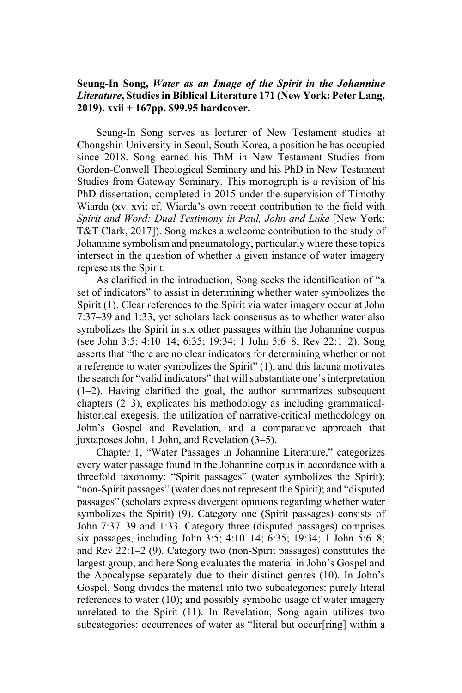## **Seung-In Song,** *Water as an Image of the Spirit in the Johannine Literature***, Studies in Biblical Literature 171 (New York: Peter Lang, 2019). xxii + 167pp. \$99.95 hardcover.**

Seung-In Song serves as lecturer of New Testament studies at Chongshin University in Seoul, South Korea, a position he has occupied since 2018. Song earned his ThM in New Testament Studies from Gordon-Conwell Theological Seminary and his PhD in New Testament Studies from Gateway Seminary. This monograph is a revision of his PhD dissertation, completed in 2015 under the supervision of Timothy Wiarda (xv–xvi; cf. Wiarda's own recent contribution to the field with *Spirit and Word: Dual Testimony in Paul, John and Luke* [New York: T&T Clark, 2017]). Song makes a welcome contribution to the study of Johannine symbolism and pneumatology, particularly where these topics intersect in the question of whether a given instance of water imagery represents the Spirit.

As clarified in the introduction, Song seeks the identification of "a set of indicators" to assist in determining whether water symbolizes the Spirit (1). Clear references to the Spirit via water imagery occur at John 7:37–39 and 1:33, yet scholars lack consensus as to whether water also symbolizes the Spirit in six other passages within the Johannine corpus (see John 3:5; 4:10–14; 6:35; 19:34; 1 John 5:6–8; Rev 22:1–2). Song asserts that "there are no clear indicators for determining whether or not a reference to water symbolizes the Spirit" (1), and this lacuna motivates the search for "valid indicators" that will substantiate one's interpretation (1–2). Having clarified the goal, the author summarizes subsequent chapters (2–3), explicates his methodology as including grammaticalhistorical exegesis, the utilization of narrative-critical methodology on John's Gospel and Revelation, and a comparative approach that juxtaposes John, 1 John, and Revelation (3–5).

Chapter 1, "Water Passages in Johannine Literature," categorizes every water passage found in the Johannine corpus in accordance with a threefold taxonomy: "Spirit passages" (water symbolizes the Spirit); "non-Spirit passages" (water does not represent the Spirit); and "disputed passages" (scholars express divergent opinions regarding whether water symbolizes the Spirit) (9). Category one (Spirit passages) consists of John 7:37–39 and 1:33. Category three (disputed passages) comprises six passages, including John 3:5; 4:10–14; 6:35; 19:34; 1 John 5:6–8; and Rev 22:1–2 (9). Category two (non-Spirit passages) constitutes the largest group, and here Song evaluates the material in John's Gospel and the Apocalypse separately due to their distinct genres (10). In John's Gospel, Song divides the material into two subcategories: purely literal references to water (10); and possibly symbolic usage of water imagery unrelated to the Spirit (11). In Revelation, Song again utilizes two subcategories: occurrences of water as "literal but occur[ring] within a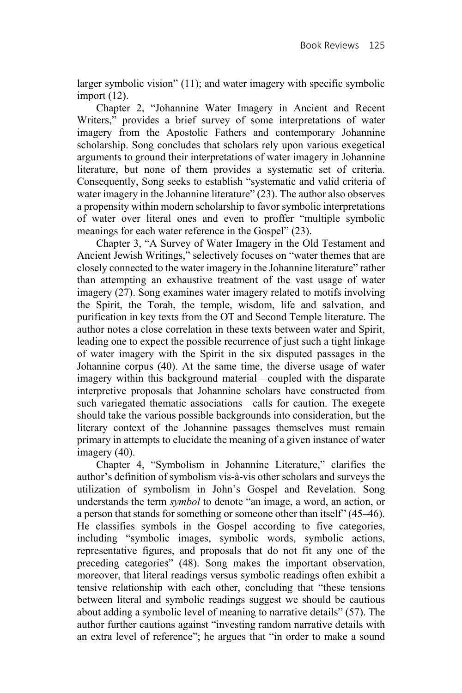larger symbolic vision" (11); and water imagery with specific symbolic import (12).

Chapter 2, "Johannine Water Imagery in Ancient and Recent Writers," provides a brief survey of some interpretations of water imagery from the Apostolic Fathers and contemporary Johannine scholarship. Song concludes that scholars rely upon various exegetical arguments to ground their interpretations of water imagery in Johannine literature, but none of them provides a systematic set of criteria. Consequently, Song seeks to establish "systematic and valid criteria of water imagery in the Johannine literature" (23). The author also observes a propensity within modern scholarship to favor symbolic interpretations of water over literal ones and even to proffer "multiple symbolic meanings for each water reference in the Gospel" (23).

Chapter 3, "A Survey of Water Imagery in the Old Testament and Ancient Jewish Writings," selectively focuses on "water themes that are closely connected to the water imagery in the Johannine literature" rather than attempting an exhaustive treatment of the vast usage of water imagery (27). Song examines water imagery related to motifs involving the Spirit, the Torah, the temple, wisdom, life and salvation, and purification in key texts from the OT and Second Temple literature. The author notes a close correlation in these texts between water and Spirit, leading one to expect the possible recurrence of just such a tight linkage of water imagery with the Spirit in the six disputed passages in the Johannine corpus (40). At the same time, the diverse usage of water imagery within this background material—coupled with the disparate interpretive proposals that Johannine scholars have constructed from such variegated thematic associations—calls for caution. The exegete should take the various possible backgrounds into consideration, but the literary context of the Johannine passages themselves must remain primary in attempts to elucidate the meaning of a given instance of water imagery (40).

Chapter 4, "Symbolism in Johannine Literature," clarifies the author's definition of symbolism vis-à-vis other scholars and surveys the utilization of symbolism in John's Gospel and Revelation. Song understands the term *symbol* to denote "an image, a word, an action, or a person that stands for something or someone other than itself" (45–46). He classifies symbols in the Gospel according to five categories, including "symbolic images, symbolic words, symbolic actions, representative figures, and proposals that do not fit any one of the preceding categories" (48). Song makes the important observation, moreover, that literal readings versus symbolic readings often exhibit a tensive relationship with each other, concluding that "these tensions between literal and symbolic readings suggest we should be cautious about adding a symbolic level of meaning to narrative details" (57). The author further cautions against "investing random narrative details with an extra level of reference"; he argues that "in order to make a sound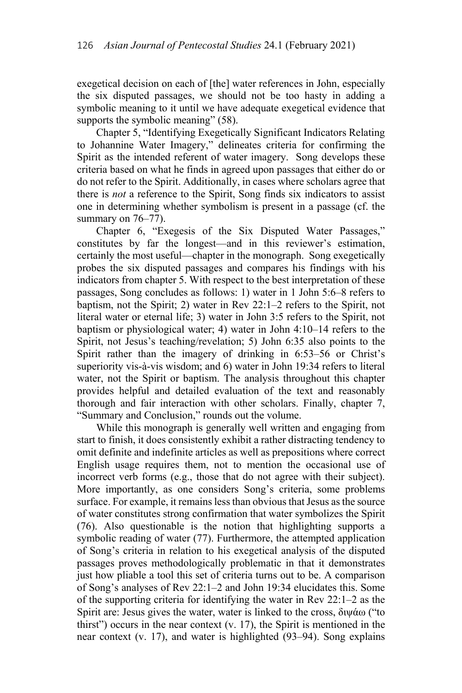exegetical decision on each of [the] water references in John, especially the six disputed passages, we should not be too hasty in adding a symbolic meaning to it until we have adequate exegetical evidence that supports the symbolic meaning" (58).

Chapter 5, "Identifying Exegetically Significant Indicators Relating to Johannine Water Imagery," delineates criteria for confirming the Spirit as the intended referent of water imagery. Song develops these criteria based on what he finds in agreed upon passages that either do or do not refer to the Spirit. Additionally, in cases where scholars agree that there is *not* a reference to the Spirit, Song finds six indicators to assist one in determining whether symbolism is present in a passage (cf. the summary on  $76-77$ ).

Chapter 6, "Exegesis of the Six Disputed Water Passages," constitutes by far the longest—and in this reviewer's estimation, certainly the most useful—chapter in the monograph. Song exegetically probes the six disputed passages and compares his findings with his indicators from chapter 5. With respect to the best interpretation of these passages, Song concludes as follows: 1) water in 1 John 5:6–8 refers to baptism, not the Spirit; 2) water in Rev 22:1–2 refers to the Spirit, not literal water or eternal life; 3) water in John 3:5 refers to the Spirit, not baptism or physiological water; 4) water in John 4:10–14 refers to the Spirit, not Jesus's teaching/revelation; 5) John 6:35 also points to the Spirit rather than the imagery of drinking in 6:53–56 or Christ's superiority vis-à-vis wisdom; and 6) water in John 19:34 refers to literal water, not the Spirit or baptism. The analysis throughout this chapter provides helpful and detailed evaluation of the text and reasonably thorough and fair interaction with other scholars. Finally, chapter 7, "Summary and Conclusion," rounds out the volume.

While this monograph is generally well written and engaging from start to finish, it does consistently exhibit a rather distracting tendency to omit definite and indefinite articles as well as prepositions where correct English usage requires them, not to mention the occasional use of incorrect verb forms (e.g., those that do not agree with their subject). More importantly, as one considers Song's criteria, some problems surface. For example, it remains less than obvious that Jesus as the source of water constitutes strong confirmation that water symbolizes the Spirit (76). Also questionable is the notion that highlighting supports a symbolic reading of water (77). Furthermore, the attempted application of Song's criteria in relation to his exegetical analysis of the disputed passages proves methodologically problematic in that it demonstrates just how pliable a tool this set of criteria turns out to be. A comparison of Song's analyses of Rev 22:1–2 and John 19:34 elucidates this. Some of the supporting criteria for identifying the water in Rev 22:1–2 as the Spirit are: Jesus gives the water, water is linked to the cross, διψάω ("to thirst") occurs in the near context (v. 17), the Spirit is mentioned in the near context (v. 17), and water is highlighted (93–94). Song explains